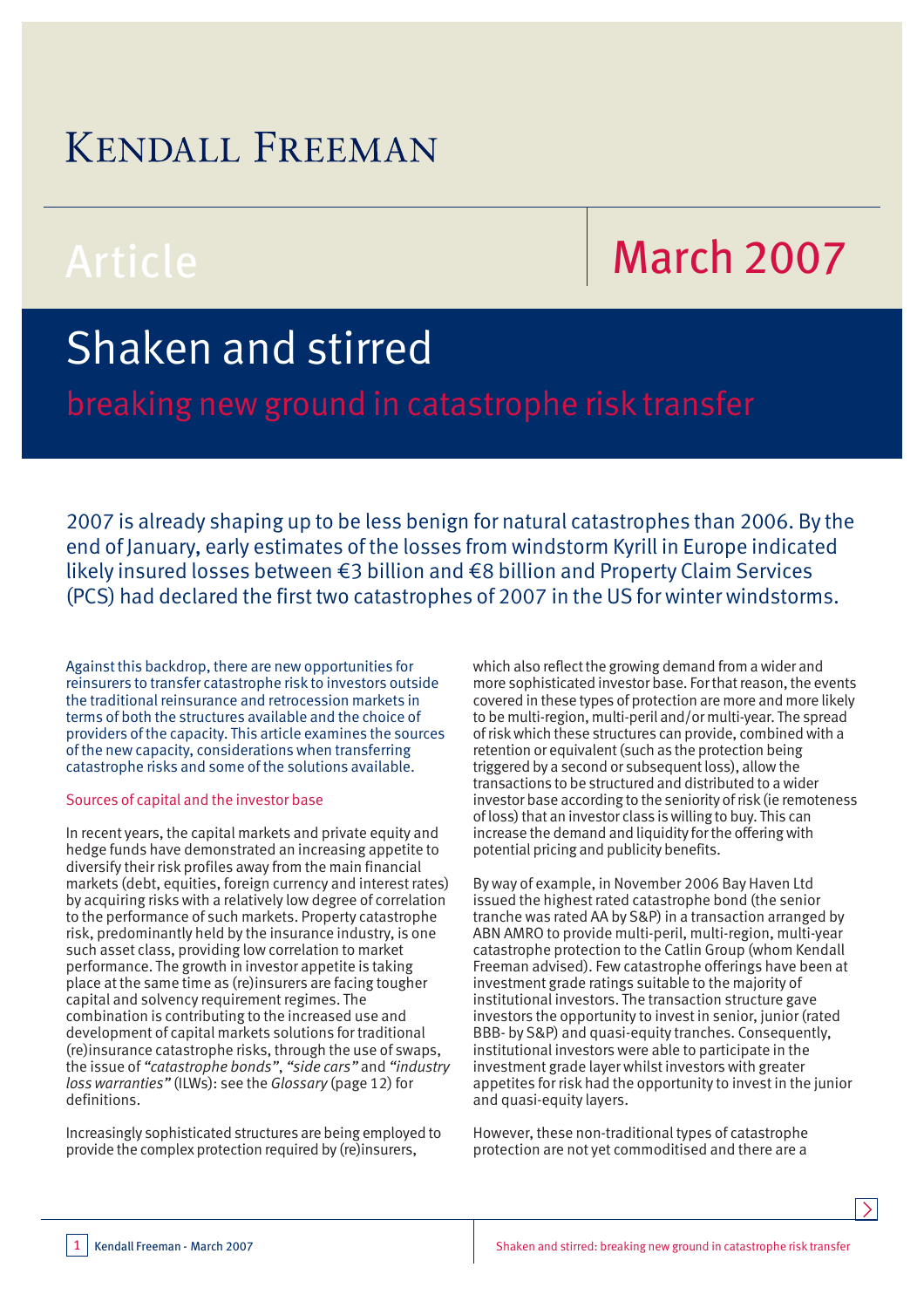### **KENDALL FREEMAN**

# Article March 2007

## Shaken and stirred

breaking new ground in catastrophe risk transfer

2007 is already shaping up to be less benign for natural catastrophes than 2006. By the end of January, early estimates of the losses from windstorm Kyrill in Europe indicated likely insured losses between €3 billion and €8 billion and Property Claim Services (PCS) had declared the first two catastrophes of 2007 in the US for winter windstorms.

Against this backdrop, there are new opportunities for reinsurers to transfer catastrophe risk to investors outside the traditional reinsurance and retrocession markets in terms of both the structures available and the choice of providers of the capacity. This article examines the sources of the new capacity, considerations when transferring catastrophe risks and some of the solutions available.

#### Sources of capital and the investor base

In recent years, the capital markets and private equity and hedge funds have demonstrated an increasing appetite to diversify their risk profiles away from the main financial markets (debt, equities, foreign currency and interest rates) by acquiring risks with a relatively low degree of correlation to the performance of such markets. Property catastrophe risk, predominantly held by the insurance industry, is one such asset class, providing low correlation to market performance. The growth in investor appetite is taking place at the same time as (re)insurers are facing tougher capital and solvency requirement regimes. The combination is contributing to the increased use and development of capital markets solutions for traditional (re)insurance catastrophe risks, through the use of swaps, the issue of *"catastrophe bonds"*, *"side cars"* and *"industry loss warranties"* (ILWs): see the *Glossary* (page 12) for definitions.

Increasingly sophisticated structures are being employed to provide the complex protection required by (re)insurers,

which also reflect the growing demand from a wider and more sophisticated investor base. For that reason, the events covered in these types of protection are more and more likely to be multi-region, multi-peril and/or multi-year. The spread of risk which these structures can provide, combined with a retention or equivalent (such as the protection being triggered by a second or subsequent loss), allow the transactions to be structured and distributed to a wider investor base according to the seniority of risk (ie remoteness of loss) that an investor class is willing to buy. This can increase the demand and liquidity for the offering with potential pricing and publicity benefits.

By way of example, in November 2006 Bay Haven Ltd issued the highest rated catastrophe bond (the senior tranche was rated AA by S&P) in a transaction arranged by ABN AMRO to provide multi-peril, multi-region, multi-year catastrophe protection to the Catlin Group (whom Kendall Freeman advised). Few catastrophe offerings have been at investment grade ratings suitable to the majority of institutional investors. The transaction structure gave investors the opportunity to invest in senior, junior (rated BBB- by S&P) and quasi-equity tranches. Consequently, institutional investors were able to participate in the investment grade layer whilst investors with greater appetites for risk had the opportunity to invest in the junior and quasi-equity layers.

However, these non-traditional types of catastrophe protection are not yet commoditised and there are a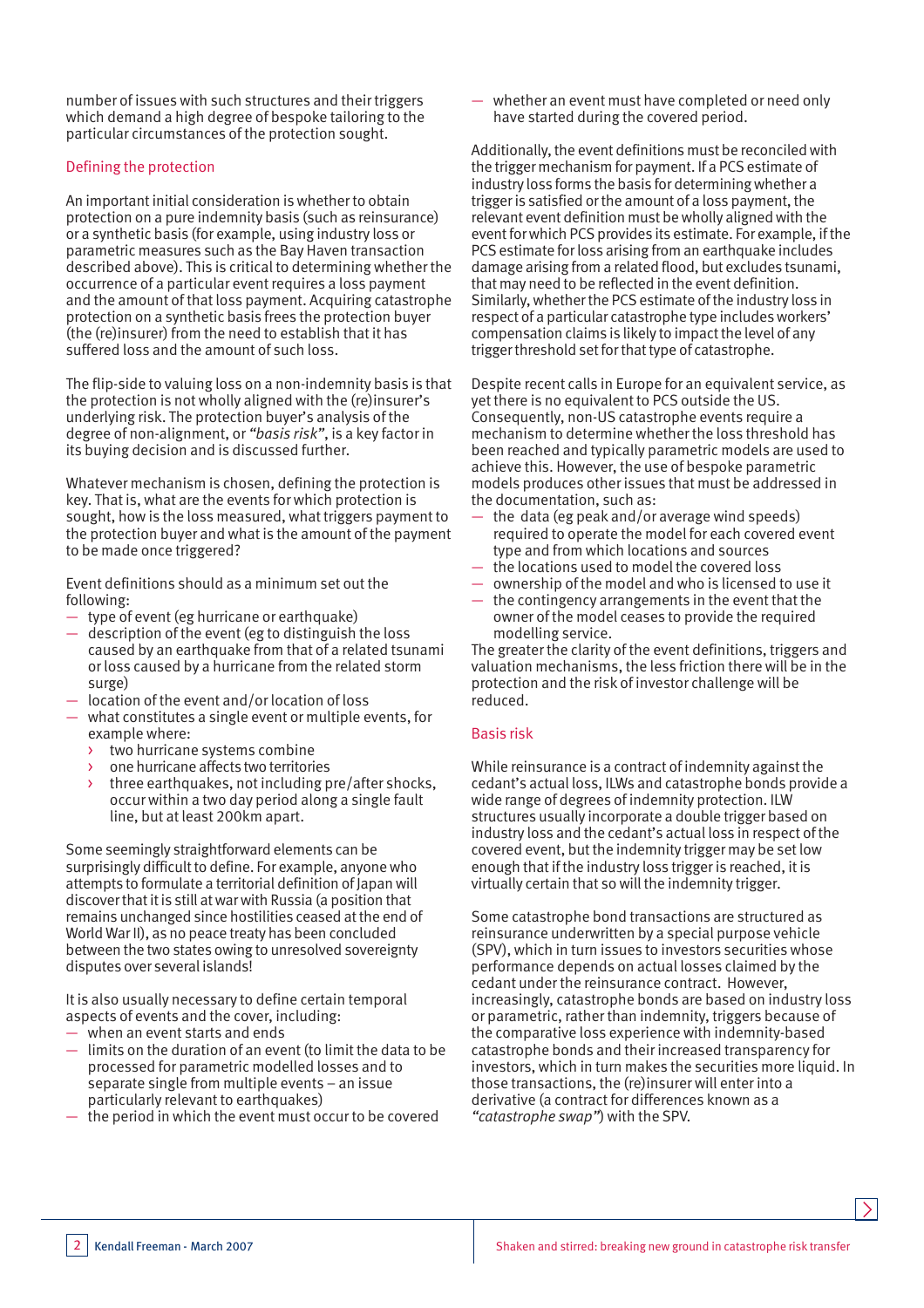number of issues with such structures and their triggers which demand a high degree of bespoke tailoring to the particular circumstances of the protection sought.

#### Defining the protection

An important initial consideration is whether to obtain protection on a pure indemnity basis (such as reinsurance) or a synthetic basis (for example, using industry loss or parametric measures such as the Bay Haven transaction described above). This is critical to determining whether the occurrence of a particular event requires a loss payment and the amount of that loss payment. Acquiring catastrophe protection on a synthetic basis frees the protection buyer (the (re)insurer) from the need to establish that it has suffered loss and the amount of such loss.

The flip-side to valuing loss on a non-indemnity basis is that the protection is not wholly aligned with the (re)insurer's underlying risk. The protection buyer's analysis of the degree of non-alignment, or *"basis risk"*, is a key factor in its buying decision and is discussed further.

Whatever mechanism is chosen, defining the protection is key. That is, what are the events for which protection is sought, how is the loss measured, what triggers payment to the protection buyer and what is the amount of the payment to be made once triggered?

Event definitions should as a minimum set out the following:

- type of event (eg hurricane or earthquake)
- description of the event (eg to distinguish the loss caused by an earthquake from that of a related tsunami or loss caused by a hurricane from the related storm surge)
- location of the event and/or location of loss
- what constitutes a single event or multiple events, for example where:
	- two hurricane systems combine
	- one hurricane affects two territories
	- > three earthquakes, not including pre/after shocks, occur within a two day period along a single fault line, but at least 200km apart.

Some seemingly straightforward elements can be surprisingly difficult to define. For example, anyone who attempts to formulate a territorial definition of Japan will discover that it is still at war with Russia (a position that remains unchanged since hostilities ceased at the end of World War II), as no peace treaty has been concluded between the two states owing to unresolved sovereignty disputes over several islands!

It is also usually necessary to define certain temporal aspects of events and the cover, including:

- when an event starts and ends
- limits on the duration of an event (to limit the data to be processed for parametric modelled losses and to separate single from multiple events – an issue particularly relevant to earthquakes)
- the period in which the event must occur to be covered

— whether an event must have completed or need only have started during the covered period.

Additionally, the event definitions must be reconciled with the trigger mechanism for payment. If a PCS estimate of industry loss forms the basis for determining whether a trigger is satisfied or the amount of a loss payment, the relevant event definition must be wholly aligned with the event for which PCS provides its estimate. For example, if the PCS estimate for loss arising from an earthquake includes damage arising from a related flood, but excludes tsunami, that may need to be reflected in the event definition. Similarly, whether the PCS estimate of the industry loss in respect of a particular catastrophe type includes workers' compensation claims is likely to impact the level of any trigger threshold set for that type of catastrophe.

Despite recent calls in Europe for an equivalent service, as yet there is no equivalent to PCS outside the US. Consequently, non-US catastrophe events require a mechanism to determine whether the loss threshold has been reached and typically parametric models are used to achieve this. However, the use of bespoke parametric models produces other issues that must be addressed in the documentation, such as:

- the data (eg peak and/or average wind speeds) required to operate the model for each covered event type and from which locations and sources
- the locations used to model the covered loss
- ownership of the model and who is licensed to use it
- the contingency arrangements in the event that the owner of the model ceases to provide the required modelling service.

The greater the clarity of the event definitions, triggers and valuation mechanisms, the less friction there will be in the protection and the risk of investor challenge will be reduced.

#### Basis risk

While reinsurance is a contract of indemnity against the cedant's actual loss, ILWs and catastrophe bonds provide a wide range of degrees of indemnity protection. ILW structures usually incorporate a double trigger based on industry loss and the cedant's actual loss in respect of the covered event, but the indemnity trigger may be set low enough that if the industry loss trigger is reached, it is virtually certain that so will the indemnity trigger.

Some catastrophe bond transactions are structured as reinsurance underwritten by a special purpose vehicle (SPV), which in turn issues to investors securities whose performance depends on actual losses claimed by the cedant under the reinsurance contract. However, increasingly, catastrophe bonds are based on industry loss or parametric, rather than indemnity, triggers because of the comparative loss experience with indemnity-based catastrophe bonds and their increased transparency for investors, which in turn makes the securities more liquid. In those transactions, the (re)insurer will enter into a derivative (a contract for differences known as a *"catastrophe swap"*) with the SPV.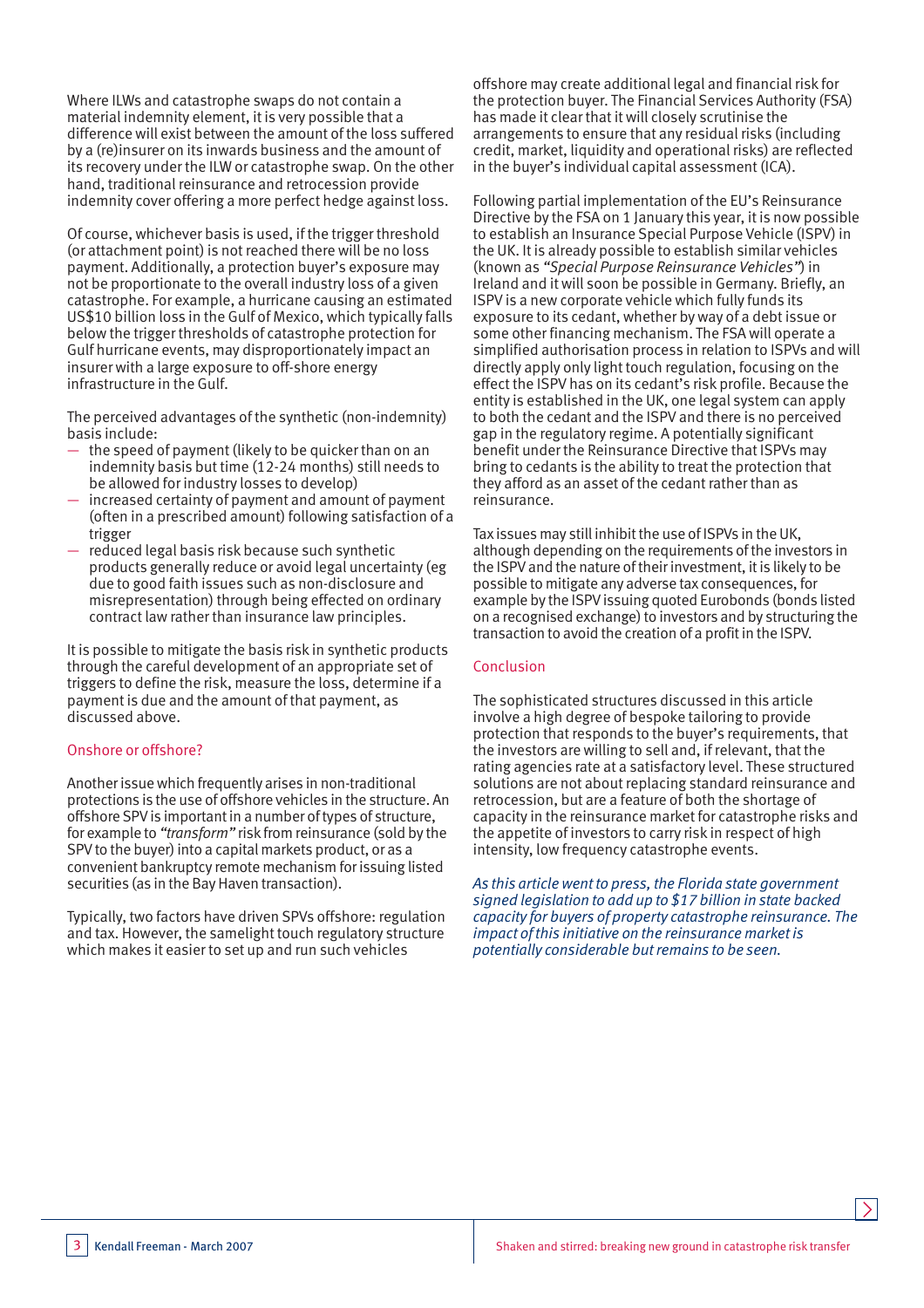Where ILWs and catastrophe swaps do not contain a material indemnity element, it is very possible that a difference will exist between the amount of the loss suffered by a (re)insurer on its inwards business and the amount of its recovery under the ILW or catastrophe swap. On the other hand, traditional reinsurance and retrocession provide indemnity cover offering a more perfect hedge against loss.

Of course, whichever basis is used, if the trigger threshold (or attachment point) is not reached there will be no loss payment. Additionally, a protection buyer's exposure may not be proportionate to the overall industry loss of a given catastrophe. For example, a hurricane causing an estimated US\$10 billion loss in the Gulf of Mexico, which typically falls below the trigger thresholds of catastrophe protection for Gulf hurricane events, may disproportionately impact an insurer with a large exposure to off-shore energy infrastructure in the Gulf.

The perceived advantages of the synthetic (non-indemnity) basis include:

- the speed of payment (likely to be quicker than on an indemnity basis but time (12-24 months) still needs to be allowed for industry losses to develop)
- increased certainty of payment and amount of payment (often in a prescribed amount) following satisfaction of a trigger
- reduced legal basis risk because such synthetic products generally reduce or avoid legal uncertainty (eg due to good faith issues such as non-disclosure and misrepresentation) through being effected on ordinary contract law rather than insurance law principles.

It is possible to mitigate the basis risk in synthetic products through the careful development of an appropriate set of triggers to define the risk, measure the loss, determine if a payment is due and the amount of that payment, as discussed above.

#### Onshore or offshore?

Another issue which frequently arises in non-traditional protections is the use of offshore vehicles in the structure. An offshore SPV is important in a number of types of structure, for example to *"transform"* risk from reinsurance (sold by the SPV to the buyer) into a capital markets product, or as a convenient bankruptcy remote mechanism for issuing listed securities (as in the Bay Haven transaction).

Typically, two factors have driven SPVs offshore: regulation and tax. However, the samelight touch regulatory structure which makes it easier to set up and run such vehicles

offshore may create additional legal and financial risk for the protection buyer. The Financial Services Authority (FSA) has made it clear that it will closely scrutinise the arrangements to ensure that any residual risks (including credit, market, liquidity and operational risks) are reflected in the buyer's individual capital assessment (ICA).

Following partial implementation of the EU's Reinsurance Directive by the FSA on 1 January this year, it is now possible to establish an Insurance Special Purpose Vehicle (ISPV) in the UK. It is already possible to establish similar vehicles (known as *"Special Purpose Reinsurance Vehicles"*) in Ireland and it will soon be possible in Germany. Briefly, an ISPV is a new corporate vehicle which fully funds its exposure to its cedant, whether by way of a debt issue or some other financing mechanism. The FSA will operate a simplified authorisation process in relation to ISPVs and will directly apply only light touch regulation, focusing on the effect the ISPV has on its cedant's risk profile. Because the entity is established in the UK, one legal system can apply to both the cedant and the ISPV and there is no perceived gap in the regulatory regime. A potentially significant benefit under the Reinsurance Directive that ISPVs may bring to cedants is the ability to treat the protection that they afford as an asset of the cedant rather than as reinsurance.

Tax issues may still inhibit the use of ISPVs in the UK, although depending on the requirements of the investors in the ISPV and the nature of their investment, it is likely to be possible to mitigate any adverse tax consequences, for example by the ISPV issuing quoted Eurobonds (bonds listed on a recognised exchange) to investors and by structuring the transaction to avoid the creation of a profit in the ISPV.

#### Conclusion

The sophisticated structures discussed in this article involve a high degree of bespoke tailoring to provide protection that responds to the buyer's requirements, that the investors are willing to sell and, if relevant, that the rating agencies rate at a satisfactory level. These structured solutions are not about replacing standard reinsurance and retrocession, but are a feature of both the shortage of capacity in the reinsurance market for catastrophe risks and the appetite of investors to carry risk in respect of high intensity, low frequency catastrophe events.

*As this article went to press, the Florida state government signed legislation to add up to \$17 billion in state backed capacity for buyers of property catastrophe reinsurance. The impact of this initiative on the reinsurance market is potentially considerable but remains to be seen.*